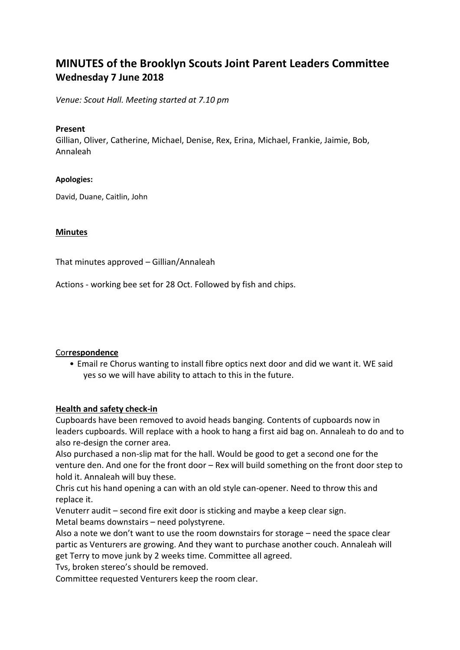# **MINUTES of the Brooklyn Scouts Joint Parent Leaders Committee Wednesday 7 June 2018**

*Venue: Scout Hall. Meeting started at 7.10 pm*

#### **Present**

Gillian, Oliver, Catherine, Michael, Denise, Rex, Erina, Michael, Frankie, Jaimie, Bob, Annaleah

## **Apologies:**

David, Duane, Caitlin, John

## **Minutes**

That minutes approved – Gillian/Annaleah

Actions - working bee set for 28 Oct. Followed by fish and chips.

## Cor**respondence**

• Email re Chorus wanting to install fibre optics next door and did we want it. WE said yes so we will have ability to attach to this in the future.

## **Health and safety check-in**

Cupboards have been removed to avoid heads banging. Contents of cupboards now in leaders cupboards. Will replace with a hook to hang a first aid bag on. Annaleah to do and to also re-design the corner area.

Also purchased a non-slip mat for the hall. Would be good to get a second one for the venture den. And one for the front door – Rex will build something on the front door step to hold it. Annaleah will buy these.

Chris cut his hand opening a can with an old style can-opener. Need to throw this and replace it.

Venuterr audit – second fire exit door is sticking and maybe a keep clear sign. Metal beams downstairs – need polystyrene.

Also a note we don't want to use the room downstairs for storage – need the space clear partic as Venturers are growing. And they want to purchase another couch. Annaleah will get Terry to move junk by 2 weeks time. Committee all agreed.

Tvs, broken stereo's should be removed.

Committee requested Venturers keep the room clear.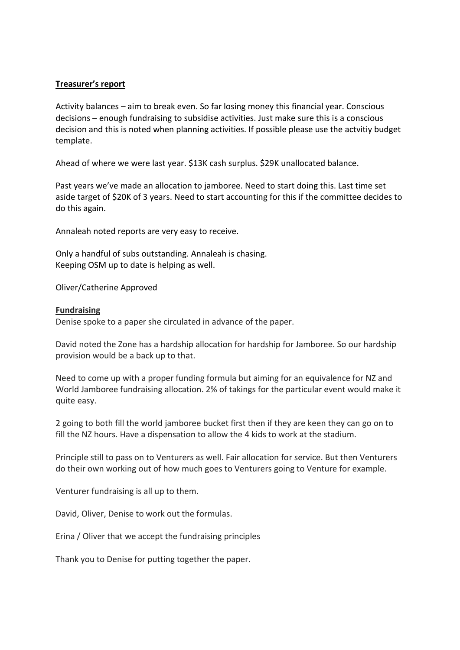## **Treasurer's report**

Activity balances – aim to break even. So far losing money this financial year. Conscious decisions – enough fundraising to subsidise activities. Just make sure this is a conscious decision and this is noted when planning activities. If possible please use the actvitiy budget template.

Ahead of where we were last year. \$13K cash surplus. \$29K unallocated balance.

Past years we've made an allocation to jamboree. Need to start doing this. Last time set aside target of \$20K of 3 years. Need to start accounting for this if the committee decides to do this again.

Annaleah noted reports are very easy to receive.

Only a handful of subs outstanding. Annaleah is chasing. Keeping OSM up to date is helping as well.

Oliver/Catherine Approved

#### **Fundraising**

Denise spoke to a paper she circulated in advance of the paper.

David noted the Zone has a hardship allocation for hardship for Jamboree. So our hardship provision would be a back up to that.

Need to come up with a proper funding formula but aiming for an equivalence for NZ and World Jamboree fundraising allocation. 2% of takings for the particular event would make it quite easy.

2 going to both fill the world jamboree bucket first then if they are keen they can go on to fill the NZ hours. Have a dispensation to allow the 4 kids to work at the stadium.

Principle still to pass on to Venturers as well. Fair allocation for service. But then Venturers do their own working out of how much goes to Venturers going to Venture for example.

Venturer fundraising is all up to them.

David, Oliver, Denise to work out the formulas.

Erina / Oliver that we accept the fundraising principles

Thank you to Denise for putting together the paper.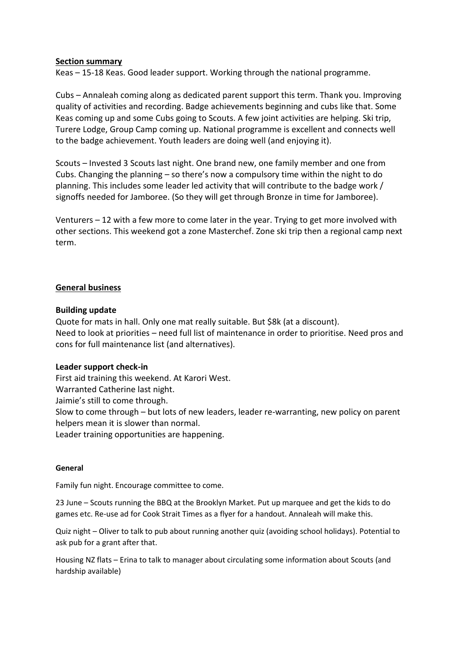#### **Section summary**

Keas – 15-18 Keas. Good leader support. Working through the national programme.

Cubs – Annaleah coming along as dedicated parent support this term. Thank you. Improving quality of activities and recording. Badge achievements beginning and cubs like that. Some Keas coming up and some Cubs going to Scouts. A few joint activities are helping. Ski trip, Turere Lodge, Group Camp coming up. National programme is excellent and connects well to the badge achievement. Youth leaders are doing well (and enjoying it).

Scouts – Invested 3 Scouts last night. One brand new, one family member and one from Cubs. Changing the planning – so there's now a compulsory time within the night to do planning. This includes some leader led activity that will contribute to the badge work / signoffs needed for Jamboree. (So they will get through Bronze in time for Jamboree).

Venturers – 12 with a few more to come later in the year. Trying to get more involved with other sections. This weekend got a zone Masterchef. Zone ski trip then a regional camp next term.

#### **General business**

#### **Building update**

Quote for mats in hall. Only one mat really suitable. But \$8k (at a discount). Need to look at priorities – need full list of maintenance in order to prioritise. Need pros and cons for full maintenance list (and alternatives).

#### **Leader support check-in**

First aid training this weekend. At Karori West. Warranted Catherine last night. Jaimie's still to come through. Slow to come through – but lots of new leaders, leader re-warranting, new policy on parent helpers mean it is slower than normal. Leader training opportunities are happening.

#### **General**

Family fun night. Encourage committee to come.

23 June – Scouts running the BBQ at the Brooklyn Market. Put up marquee and get the kids to do games etc. Re-use ad for Cook Strait Times as a flyer for a handout. Annaleah will make this.

Quiz night – Oliver to talk to pub about running another quiz (avoiding school holidays). Potential to ask pub for a grant after that.

Housing NZ flats – Erina to talk to manager about circulating some information about Scouts (and hardship available)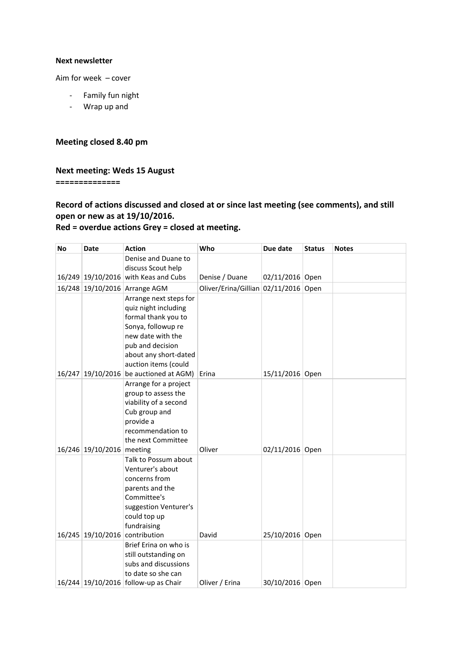#### **Next newsletter**

Aim for week – cover

- Family fun night
- Wrap up and

#### **Meeting closed 8.40 pm**

## **Next meeting: Weds 15 August**

**==============**

## **Record of actions discussed and closed at or since last meeting (see comments), and still open or new as at 19/10/2016.**

## **Red = overdue actions Grey = closed at meeting.**

| <b>No</b> | Date                      | <b>Action</b>                                                  | Who                             | Due date        | <b>Status</b> | <b>Notes</b> |
|-----------|---------------------------|----------------------------------------------------------------|---------------------------------|-----------------|---------------|--------------|
|           |                           | Denise and Duane to                                            |                                 |                 |               |              |
|           |                           | discuss Scout help<br>16/249 19/10/2016 with Keas and Cubs     | Denise / Duane                  | 02/11/2016 Open |               |              |
|           |                           | 16/248 19/10/2016 Arrange AGM                                  | Oliver/Erina/Gillian 02/11/2016 |                 | Open          |              |
|           |                           | Arrange next steps for                                         |                                 |                 |               |              |
|           |                           | quiz night including                                           |                                 |                 |               |              |
|           |                           | formal thank you to                                            |                                 |                 |               |              |
|           |                           | Sonya, followup re                                             |                                 |                 |               |              |
|           |                           | new date with the                                              |                                 |                 |               |              |
|           |                           | pub and decision                                               |                                 |                 |               |              |
|           |                           | about any short-dated                                          |                                 |                 |               |              |
|           |                           | auction items (could<br>16/247 19/10/2016 be auctioned at AGM) | Erina                           | 15/11/2016 Open |               |              |
|           |                           | Arrange for a project                                          |                                 |                 |               |              |
|           |                           | group to assess the                                            |                                 |                 |               |              |
|           |                           | viability of a second                                          |                                 |                 |               |              |
|           |                           | Cub group and                                                  |                                 |                 |               |              |
|           |                           | provide a                                                      |                                 |                 |               |              |
|           |                           | recommendation to                                              |                                 |                 |               |              |
|           |                           | the next Committee                                             |                                 |                 |               |              |
|           | 16/246 19/10/2016 meeting | Talk to Possum about                                           | Oliver                          | 02/11/2016 Open |               |              |
|           |                           | Venturer's about                                               |                                 |                 |               |              |
|           |                           | concerns from                                                  |                                 |                 |               |              |
|           |                           | parents and the                                                |                                 |                 |               |              |
|           |                           | Committee's                                                    |                                 |                 |               |              |
|           |                           | suggestion Venturer's                                          |                                 |                 |               |              |
|           |                           | could top up                                                   |                                 |                 |               |              |
|           |                           | fundraising                                                    |                                 |                 |               |              |
|           |                           | 16/245 19/10/2016 contribution                                 | David                           | 25/10/2016 Open |               |              |
|           |                           | Brief Erina on who is<br>still outstanding on                  |                                 |                 |               |              |
|           |                           | subs and discussions                                           |                                 |                 |               |              |
|           |                           | to date so she can                                             |                                 |                 |               |              |
|           |                           | 16/244 19/10/2016 follow-up as Chair                           | Oliver / Erina                  | 30/10/2016 Open |               |              |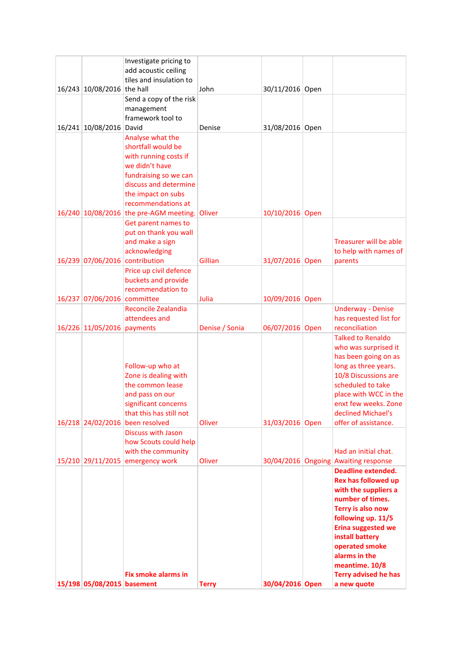| 16/243 10/08/2016                                | Investigate pricing to<br>add acoustic ceiling<br>tiles and insulation to<br>the hall                                                                                                    | John             | 30/11/2016 Open                    |                                                                                                                                                                                                                                                                                                   |
|--------------------------------------------------|------------------------------------------------------------------------------------------------------------------------------------------------------------------------------------------|------------------|------------------------------------|---------------------------------------------------------------------------------------------------------------------------------------------------------------------------------------------------------------------------------------------------------------------------------------------------|
|                                                  | Send a copy of the risk<br>management<br>framework tool to                                                                                                                               |                  |                                    |                                                                                                                                                                                                                                                                                                   |
| 16/241 10/08/2016                                | David<br>Analyse what the<br>shortfall would be<br>with running costs if<br>we didn't have<br>fundraising so we can<br>discuss and determine<br>the impact on subs<br>recommendations at | Denise           | 31/08/2016 Open                    |                                                                                                                                                                                                                                                                                                   |
|                                                  | 16/240 10/08/2016 the pre-AGM meeting.<br>Get parent names to<br>put on thank you wall<br>and make a sign<br>acknowledging                                                               | Oliver           | 10/10/2016 Open                    | Treasurer will be able<br>to help with names of                                                                                                                                                                                                                                                   |
| 16/239 07/06/2016<br>16/237 07/06/2016 committee | contribution<br>Price up civil defence<br>buckets and provide<br>recommendation to                                                                                                       | Gillian<br>Julia | 31/07/2016 Open<br>10/09/2016 Open | parents                                                                                                                                                                                                                                                                                           |
| 16/226 11/05/2016                                | <b>Reconcile Zealandia</b><br>attendees and<br>payments                                                                                                                                  | Denise / Sonia   | 06/07/2016 Open                    | <b>Underway - Denise</b><br>has requested list for<br>reconciliation                                                                                                                                                                                                                              |
| 16/218 24/02/2016                                | Follow-up who at<br>Zone is dealing with<br>the common lease<br>and pass on our<br>significant concerns<br>that this has still not<br>been resolved                                      | Oliver           | 31/03/2016 Open                    | <b>Talked to Renaldo</b><br>who was surprised it<br>has been going on as<br>long as three years.<br>10/8 Discussions are<br>scheduled to take<br>place with WCC in the<br>enxt few weeks. Zone<br>declined Michael's<br>offer of assistance.                                                      |
| 15/210 29/11/2015                                | <b>Discuss with Jason</b><br>how Scouts could help<br>with the community<br>emergency work                                                                                               | Oliver           | 30/04/2016                         | Had an initial chat.<br>Ongoing Awaiting response                                                                                                                                                                                                                                                 |
| 15/198 05/08/2015 basement                       | <b>Fix smoke alarms in</b>                                                                                                                                                               | <b>Terry</b>     | 30/04/2016 Open                    | <b>Deadline extended.</b><br><b>Rex has followed up</b><br>with the suppliers a<br>number of times.<br>Terry is also now<br>following up. 11/5<br><b>Erina suggested we</b><br>install battery<br>operated smoke<br>alarms in the<br>meantime. 10/8<br><b>Terry advised he has</b><br>a new quote |